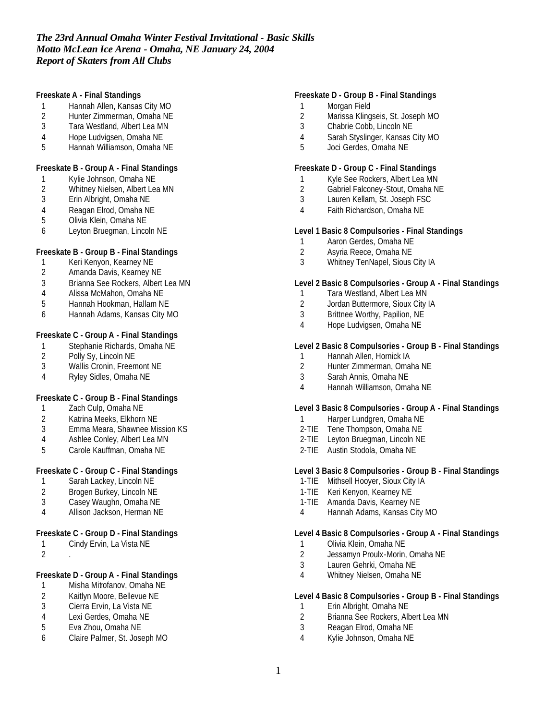# *The 23rd Annual Omaha Winter Festival Invitational - Basic Skills Motto McLean Ice Arena - Omaha, NE January 24, 2004 Report of Skaters from All Clubs*

### **Freeskate A - Final Standings**

- 1 Hannah Allen, Kansas City MO<br>2 Hunter Zimmerman, Omaha NE
- 2 Hunter Zimmerman, Omaha NE<br>3 Tara Westland. Albert Lea MN
- Tara Westland, Albert Lea MN
- 4 Hope Ludvigsen, Omaha NE
- 5 Hannah Williamson, Omaha NE

### **Freeskate B - Group A - Final Standings**

- 1 Kylie Johnson, Omaha NE
- 2 Whitney Nielsen, Albert Lea MN
- 3 Erin Albright, Omaha NE
- 4 Reagan Elrod, Omaha NE<br>5 Olivia Klein, Omaha NE
- 5 Olivia Klein, Omaha NE
- 6 Leyton Bruegman, Lincoln NE

## **Freeskate B - Group B - Final Standings**

- 1 Keri Kenyon, Kearney NE<br>2 Amanda Davis, Kearney N
- Amanda Davis, Kearney NE
- 3 Brianna See Rockers, Albert Lea MN
- 4 Alissa McMahon, Omaha NE
- 5 Hannah Hookman, Hallam NE
- 6 Hannah Adams, Kansas City MO

# **Freeskate C - Group A - Final Standings**

- 1 Stephanie Richards, Omaha NE<br>2 Polly Sy, Lincoln NE
- 2 Polly Sy, Lincoln NE<br>3 Wallis Cronin, Freem
- Wallis Cronin, Freemont NE
- 4 Ryley Sidles, Omaha NE

## **Freeskate C - Group B - Final Standings**

- 1 Zach Culp, Omaha NE
- 2 Katrina Meeks, Elkhorn NE
- 3 Emma Meara, Shawnee Mission KS
- 4 Ashlee Conley, Albert Lea MN
- 5 Carole Kauffman, Omaha NE

## **Freeskate C - Group C - Final Standings**

- 1 Sarah Lackey, Lincoln NE
- 2 Brogen Burkey, Lincoln NE
- 3 Casey Waughn, Omaha NE
- 4 Allison Jackson, Herman NE

## **Freeskate C - Group D - Final Standings**

- 1 Cindy Ervin, La Vista NE
- 2 .

# **Freeskate D - Group A - Final Standings**

- 1 Misha Mitrofanov, Omaha NE
- 2 Kaitlyn Moore, Bellevue NE<br>3 Cierra Ervin, La Vista NE
- Cierra Ervin, La Vista NE
- 4 Lexi Gerdes, Omaha NE
- 5 Eva Zhou, Omaha NE
- 6 Claire Palmer, St. Joseph MO

## **Freeskate D - Group B - Final Standings**

- 1 Morgan Field
- 2 Marissa Klingseis, St. Joseph MO<br>3 Chabrie Cobb. Lincoln NE
- Chabrie Cobb, Lincoln NE
- 4 Sarah Styslinger, Kansas City MO
- 5 Joci Gerdes, Omaha NE

### **Freeskate D - Group C - Final Standings**

- 1 Kyle See Rockers, Albert Lea MN
- 2 Gabriel Falconey-Stout, Omaha NE
- 3 Lauren Kellam, St. Joseph FSC
- 4 Faith Richardson, Omaha NE

### **Level 1 Basic 8 Compulsories - Final Standings**

- 1 Aaron Gerdes, Omaha NE<br>2 Asvria Reece, Omaha NE
- 2 Asyria Reece, Omaha NE
- 3 Whitney TenNapel, Sious City IA

### **Level 2 Basic 8 Compulsories - Group A - Final Standings**

- 1 Tara Westland, Albert Lea MN
- 2 Jordan Buttermore, Sioux City IA
- 3 Brittnee Worthy, Papilion, NE
- 4 Hope Ludvigsen, Omaha NE

## **Level 2 Basic 8 Compulsories - Group B - Final Standings**

- 1 Hannah Allen, Hornick IA<br>2 Hunter Zimmerman. Oma
- 2 Hunter Zimmerman, Omaha NE
- 3 Sarah Annis, Omaha NE
- 4 Hannah Williamson, Omaha NE

#### **Level 3 Basic 8 Compulsories - Group A - Final Standings**

- 1 Harper Lundgren, Omaha NE
- 2-TIE Tene Thompson, Omaha NE
- 2-TIE Leyton Bruegman, Lincoln NE
- 2-TIE Austin Stodola, Omaha NE

### **Level 3 Basic 8 Compulsories - Group B - Final Standings**

- 1-TIE Mithsell Hooyer, Sioux City IA
- 1-TIE Keri Kenyon, Kearney NE
- 1-TIE Amanda Davis, Kearney NE
- 4 Hannah Adams, Kansas City MO

### **Level 4 Basic 8 Compulsories - Group A - Final Standings**

- 1 Olivia Klein, Omaha NE
- 2 Jessamyn Proulx-Morin, Omaha NE
- 3 Lauren Gehrki, Omaha NE
- 4 Whitney Nielsen, Omaha NE

#### **Level 4 Basic 8 Compulsories - Group B - Final Standings**

- 1 Erin Albright, Omaha NE<br>2 Brianna See Rockers. All
- 2 Brianna See Rockers, Albert Lea MN
- 3 Reagan Elrod, Omaha NE
- 4 Kylie Johnson, Omaha NE